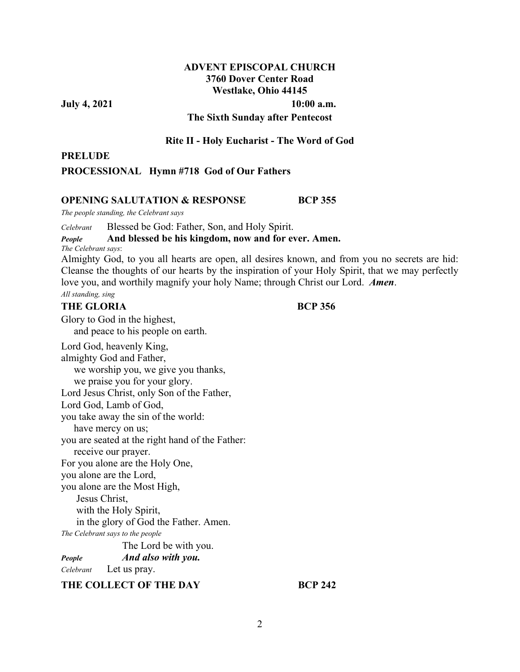# **ADVENT EPISCOPAL CHURCH 3760 Dover Center Road Westlake, Ohio 44145**

**July 4, 2021** 10:00 a.m.

## **The Sixth Sunday after Pentecost**

#### **Rite II - Holy Eucharist - The Word of God**

### **PRELUDE**

**PROCESSIONAL Hymn #718 God of Our Fathers**

### **OPENING SALUTATION & RESPONSE BCP 355**

*The people standing, the Celebrant says* 

*Celebrant* Blessed be God: Father, Son, and Holy Spirit.

# *People* **And blessed be his kingdom, now and for ever. Amen.**

*The Celebrant says*:

Almighty God, to you all hearts are open, all desires known, and from you no secrets are hid: Cleanse the thoughts of our hearts by the inspiration of your Holy Spirit, that we may perfectly love you, and worthily magnify your holy Name; through Christ our Lord. *Amen*. *All standing, sing*

## **THE GLORIA BCP 356**

Glory to God in the highest, and peace to his people on earth.

Lord God, heavenly King, almighty God and Father, we worship you, we give you thanks, we praise you for your glory. Lord Jesus Christ, only Son of the Father, Lord God, Lamb of God, you take away the sin of the world: have mercy on us; you are seated at the right hand of the Father: receive our prayer. For you alone are the Holy One, you alone are the Lord, you alone are the Most High, Jesus Christ, with the Holy Spirit, in the glory of God the Father. Amen. *The Celebrant says to the people*  The Lord be with you. *People**And also with you. Celebrant* Let us pray. **THE COLLECT OF THE DAY BCP 242**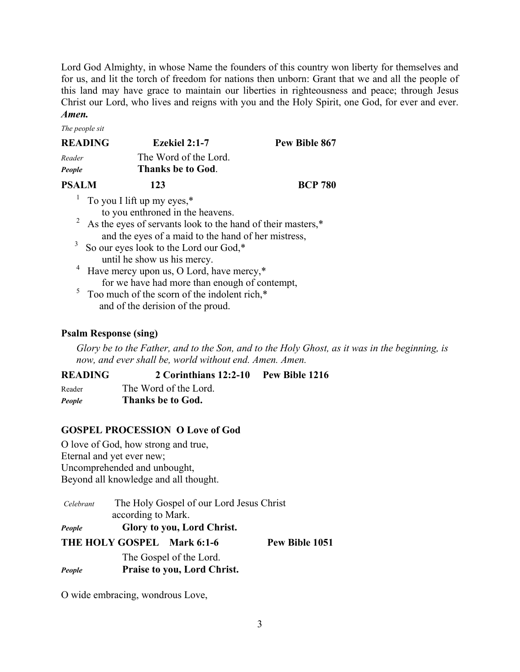Lord God Almighty, in whose Name the founders of this country won liberty for themselves and for us, and lit the torch of freedom for nations then unborn: Grant that we and all the people of this land may have grace to maintain our liberties in righteousness and peace; through Jesus Christ our Lord, who lives and reigns with you and the Holy Spirit, one God, for ever and ever. *Amen.*

*The people sit* 

| <b>READING</b> | Ezekiel 2:1-7         | Pew Bible 867  |
|----------------|-----------------------|----------------|
| Reader         | The Word of the Lord. |                |
| People         | Thanks be to God.     |                |
| <b>PSALM</b>   | 123                   | <b>BCP 780</b> |
|                |                       |                |

<sup>1</sup> To you I lift up my eyes,\*

to you enthroned in the heavens.

- 2 As the eyes of servants look to the hand of their masters,\* and the eyes of a maid to the hand of her mistress,<br> $\frac{3}{2}$ . So our over look to the Lord our God.\*
- So our eyes look to the Lord our God,\* until he show us his mercy.
- 4 Have mercy upon us, O Lord, have mercy,\* for we have had more than enough of contempt,
- <sup>5</sup> Too much of the scorn of the indolent rich,\* and of the derision of the proud.

# **Psalm Response (sing)**

*Glory be to the Father, and to the Son, and to the Holy Ghost, as it was in the beginning, is now, and ever shall be, world without end. Amen. Amen.* 

**READING 2 Corinthians 12:2-10 Pew Bible 1216**  Reader The Word of the Lord. *People* **Thanks be to God.** 

# **GOSPEL PROCESSION O Love of God**

O love of God, how strong and true, Eternal and yet ever new; Uncomprehended and unbought, Beyond all knowledge and all thought.

|        | according to Mark.         |
|--------|----------------------------|
| People | Glory to you, Lord Christ. |

| THE HOLY GOSPEL Mark 6:1-6 |                                                | Pew Bible 1051 |
|----------------------------|------------------------------------------------|----------------|
|                            | $T1 \quad C \quad 1 \quad C.1 \quad T \quad 1$ |                |

The Gospel of the Lord. *People* **Praise to you, Lord Christ.** 

O wide embracing, wondrous Love,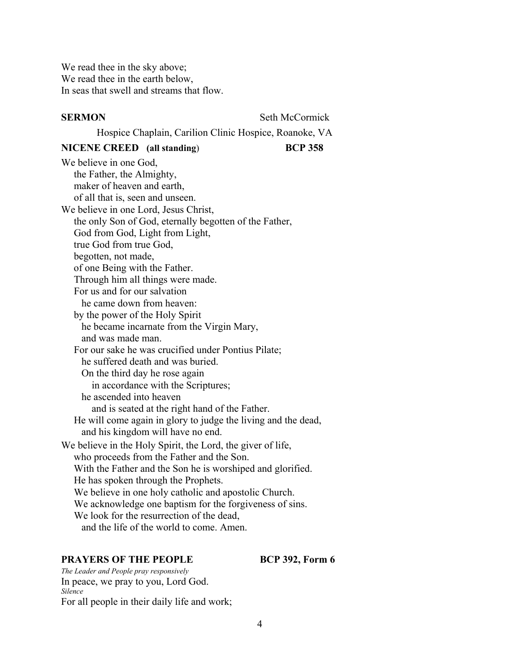We read thee in the sky above; We read thee in the earth below, In seas that swell and streams that flow.

**SERMON** Seth McCormick

Hospice Chaplain, Carilion Clinic Hospice, Roanoke, VA

# **NICENE CREED (all standing**) **BCP 358**

We believe in one God, the Father, the Almighty, maker of heaven and earth, of all that is, seen and unseen. We believe in one Lord, Jesus Christ, the only Son of God, eternally begotten of the Father, God from God, Light from Light, true God from true God, begotten, not made, of one Being with the Father. Through him all things were made. For us and for our salvation he came down from heaven: by the power of the Holy Spirit he became incarnate from the Virgin Mary, and was made man. For our sake he was crucified under Pontius Pilate; he suffered death and was buried. On the third day he rose again in accordance with the Scriptures; he ascended into heaven and is seated at the right hand of the Father. He will come again in glory to judge the living and the dead, and his kingdom will have no end. We believe in the Holy Spirit, the Lord, the giver of life, who proceeds from the Father and the Son. With the Father and the Son he is worshiped and glorified. He has spoken through the Prophets. We believe in one holy catholic and apostolic Church. We acknowledge one baptism for the forgiveness of sins. We look for the resurrection of the dead. and the life of the world to come. Amen.

#### **PRAYERS OF THE PEOPLE BCP 392, Form 6**

*The Leader and People pray responsively* In peace, we pray to you, Lord God. *Silence*  For all people in their daily life and work;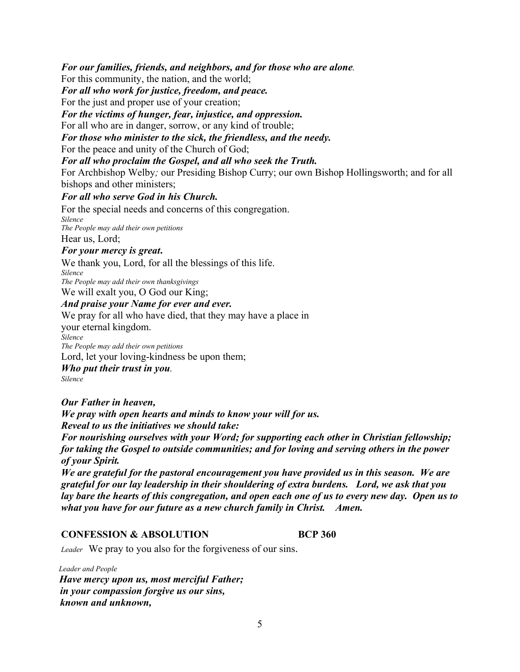*For our families, friends, and neighbors, and for those who are alone.* 

For this community, the nation, and the world;

*For all who work for justice, freedom, and peace.*

For the just and proper use of your creation;

*For the victims of hunger, fear, injustice, and oppression.*

For all who are in danger, sorrow, or any kind of trouble;

*For those who minister to the sick, the friendless, and the needy.*

For the peace and unity of the Church of God;

*For all who proclaim the Gospel, and all who seek the Truth.*

For Archbishop Welby*;* our Presiding Bishop Curry; our own Bishop Hollingsworth; and for all bishops and other ministers;

# *For all who serve God in his Church.*

For the special needs and concerns of this congregation. *Silence The People may add their own petitions* Hear us, Lord;

## *For your mercy is great***.**

We thank you, Lord, for all the blessings of this life. *Silence*

*The People may add their own thanksgivings*

We will exalt you, O God our King;

# *And praise your Name for ever and ever.*

We pray for all who have died, that they may have a place in

your eternal kingdom.

*Silence*

*The People may add their own petitions*

Lord, let your loving-kindness be upon them;

*Who put their trust in you. Silence* 

*Our Father in heaven,* 

*We pray with open hearts and minds to know your will for us. Reveal to us the initiatives we should take:* 

*For nourishing ourselves with your Word; for supporting each other in Christian fellowship; for taking the Gospel to outside communities; and for loving and serving others in the power of your Spirit.* 

*We are grateful for the pastoral encouragement you have provided us in this season. We are grateful for our lay leadership in their shouldering of extra burdens. Lord, we ask that you lay bare the hearts of this congregation, and open each one of us to every new day. Open us to what you have for our future as a new church family in Christ. Amen.* 

# **CONFESSION & ABSOLUTION BCP 360**

*Leader* We pray to you also for the forgiveness of our sins.

 *Leader and People Have mercy upon us, most merciful Father; in your compassion forgive us our sins, known and unknown,*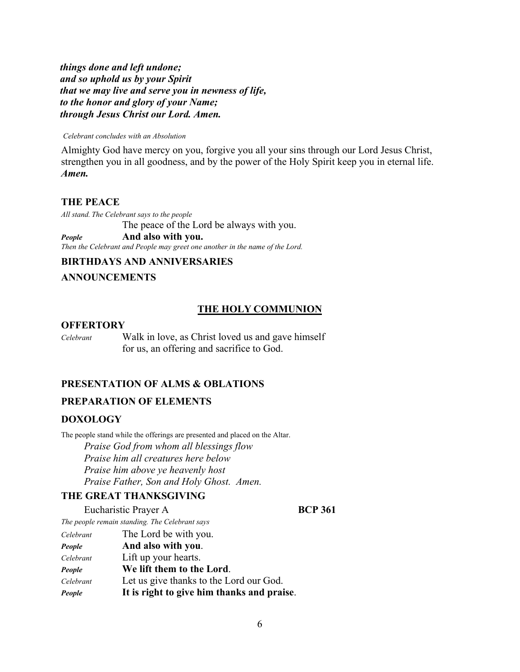*things done and left undone; and so uphold us by your Spirit that we may live and serve you in newness of life, to the honor and glory of your Name; through Jesus Christ our Lord. Amen.*

#### *Celebrant concludes with an Absolution*

Almighty God have mercy on you, forgive you all your sins through our Lord Jesus Christ, strengthen you in all goodness, and by the power of the Holy Spirit keep you in eternal life. *Amen.*

### **THE PEACE**

*All stand. The Celebrant says to the people* The peace of the Lord be always with you. *People* **And also with you.**

*Then the Celebrant and People may greet one another in the name of the Lord.* 

# **BIRTHDAYS AND ANNIVERSARIES**

# **ANNOUNCEMENTS**

#### **THE HOLY COMMUNION**

#### **OFFERTORY**

*Celebrant*Walk in love, as Christ loved us and gave himself for us, an offering and sacrifice to God.

# **PRESENTATION OF ALMS & OBLATIONS**

## **PREPARATION OF ELEMENTS**

#### **DOXOLOGY**

The people stand while the offerings are presented and placed on the Altar.  *Praise God from whom all blessings flow Praise him all creatures here below Praise him above ye heavenly host Praise Father, Son and Holy Ghost. Amen.* 

## **THE GREAT THANKSGIVING**

Eucharistic Prayer A **BCP 361** 

*The people remain standing. The Celebrant says* 

| Celebrant | The Lord be with you.                      |
|-----------|--------------------------------------------|
| People    | And also with you.                         |
| Celebrant | Lift up your hearts.                       |
| People    | We lift them to the Lord.                  |
| Celebrant | Let us give thanks to the Lord our God.    |
| People    | It is right to give him thanks and praise. |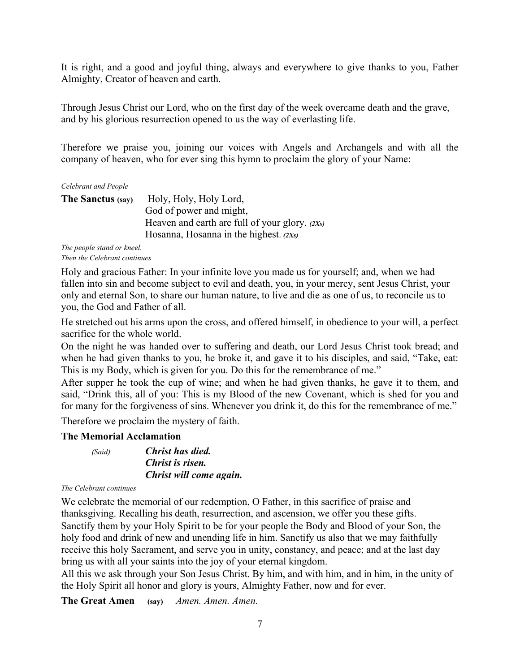It is right, and a good and joyful thing, always and everywhere to give thanks to you, Father Almighty, Creator of heaven and earth.

Through Jesus Christ our Lord, who on the first day of the week overcame death and the grave, and by his glorious resurrection opened to us the way of everlasting life.

Therefore we praise you, joining our voices with Angels and Archangels and with all the company of heaven, who for ever sing this hymn to proclaim the glory of your Name:

*Celebrant and People* 

| <b>The Sanctus (say)</b> | Holy, Holy, Holy Lord,                           |
|--------------------------|--------------------------------------------------|
|                          | God of power and might,                          |
|                          | Heaven and earth are full of your glory. $(2Xs)$ |
|                          | Hosanna, Hosanna in the highest. $(2Xs)$         |

*The people stand or kneel. Then the Celebrant continues* 

Holy and gracious Father: In your infinite love you made us for yourself; and, when we had fallen into sin and become subject to evil and death, you, in your mercy, sent Jesus Christ, your only and eternal Son, to share our human nature, to live and die as one of us, to reconcile us to you, the God and Father of all.

He stretched out his arms upon the cross, and offered himself, in obedience to your will, a perfect sacrifice for the whole world.

On the night he was handed over to suffering and death, our Lord Jesus Christ took bread; and when he had given thanks to you, he broke it, and gave it to his disciples, and said, "Take, eat: This is my Body, which is given for you. Do this for the remembrance of me."

After supper he took the cup of wine; and when he had given thanks, he gave it to them, and said, "Drink this, all of you: This is my Blood of the new Covenant, which is shed for you and for many for the forgiveness of sins. Whenever you drink it, do this for the remembrance of me."

Therefore we proclaim the mystery of faith.

# **The Memorial Acclamation**

| (Said) | <b>Christ has died.</b> |  |
|--------|-------------------------|--|
|        | Christ is risen.        |  |
|        | Christ will come again. |  |

#### *The Celebrant continues*

We celebrate the memorial of our redemption, O Father, in this sacrifice of praise and thanksgiving. Recalling his death, resurrection, and ascension, we offer you these gifts. Sanctify them by your Holy Spirit to be for your people the Body and Blood of your Son, the holy food and drink of new and unending life in him. Sanctify us also that we may faithfully receive this holy Sacrament, and serve you in unity, constancy, and peace; and at the last day bring us with all your saints into the joy of your eternal kingdom.

All this we ask through your Son Jesus Christ. By him, and with him, and in him, in the unity of the Holy Spirit all honor and glory is yours, Almighty Father, now and for ever.

**The Great Amen (say)** *Amen. Amen. Amen.*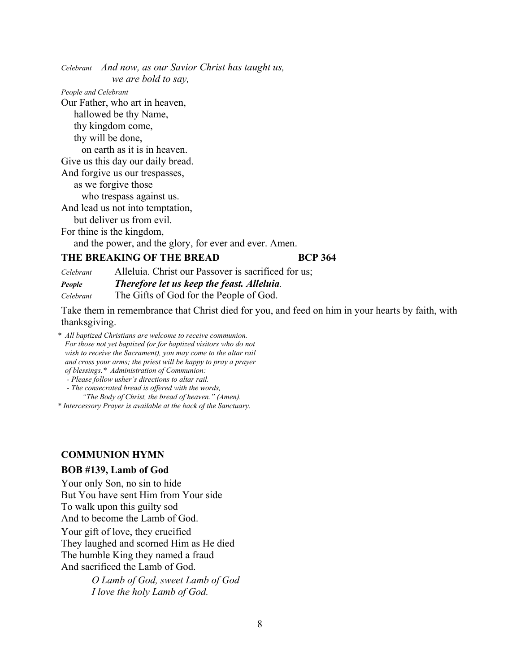*Celebrant And now, as our Savior Christ has taught us, we are bold to say,* 

*People and Celebrant* 

Our Father, who art in heaven, hallowed be thy Name, thy kingdom come, thy will be done, on earth as it is in heaven. Give us this day our daily bread. And forgive us our trespasses, as we forgive those who trespass against us. And lead us not into temptation, but deliver us from evil. For thine is the kingdom,

and the power, and the glory, for ever and ever. Amen.

### **THE BREAKING OF THE BREAD BCP 364**

*Celebrant* Alleluia. Christ our Passover is sacrificed for us; *People Therefore let us keep the feast. Alleluia. Celebrant* The Gifts of God for the People of God.

Take them in remembrance that Christ died for you, and feed on him in your hearts by faith, with thanksgiving.

*\* All baptized Christians are welcome to receive communion. For those not yet baptized (or for baptized visitors who do not wish to receive the Sacrament), you may come to the altar rail and cross your arms; the priest will be happy to pray a prayer of blessings.\* Administration of Communion:* 

 *- Please follow usher's directions to altar rail.* 

 *- The consecrated bread is offered with the words,* 

 *"The Body of Christ, the bread of heaven." (Amen).* 

*\* Intercessory Prayer is available at the back of the Sanctuary.* 

#### **COMMUNION HYMN**

#### **BOB #139, Lamb of God**

Your only Son, no sin to hide But You have sent Him from Your side To walk upon this guilty sod

And to become the Lamb of God.

Your gift of love, they crucified They laughed and scorned Him as He died The humble King they named a fraud And sacrificed the Lamb of God.

> *O Lamb of God, sweet Lamb of God I love the holy Lamb of God.*